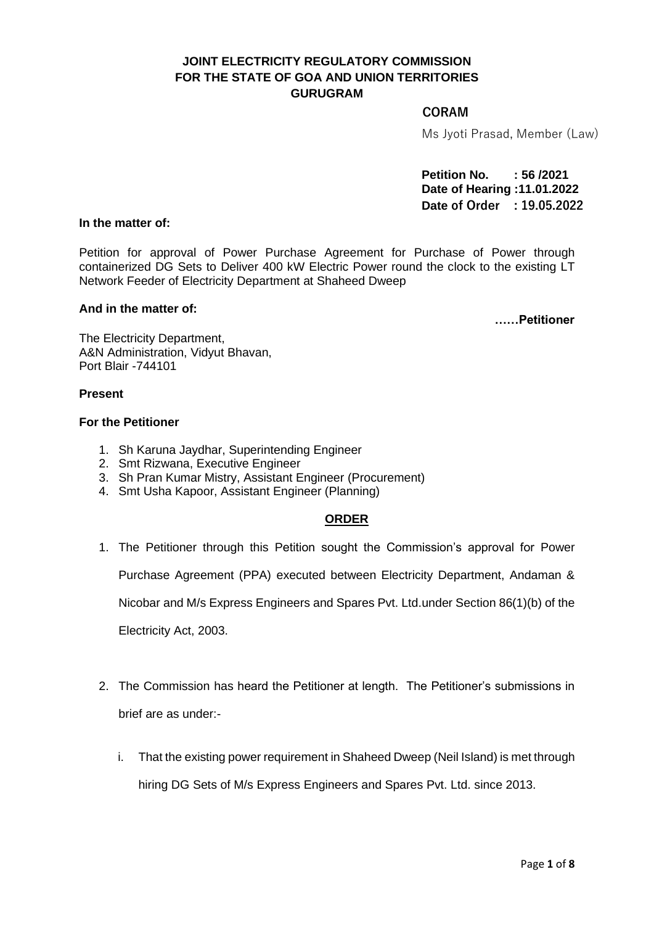# **JOINT ELECTRICITY REGULATORY COMMISSION FOR THE STATE OF GOA AND UNION TERRITORIES GURUGRAM**

## **CORAM**

Ms Jyoti Prasad, Member (Law)

**Petition No. : 56 /2021 Date of Hearing :11.01.2022 Date of Order : 19.05.2022**

# **In the matter of:**

Petition for approval of Power Purchase Agreement for Purchase of Power through containerized DG Sets to Deliver 400 kW Electric Power round the clock to the existing LT Network Feeder of Electricity Department at Shaheed Dweep

#### **And in the matter of:**

 **……Petitioner**

The Electricity Department, A&N Administration, Vidyut Bhavan, Port Blair -744101

### **Present**

### **For the Petitioner**

- 1. Sh Karuna Jaydhar, Superintending Engineer
- 2. Smt Rizwana, Executive Engineer
- 3. Sh Pran Kumar Mistry, Assistant Engineer (Procurement)
- 4. Smt Usha Kapoor, Assistant Engineer (Planning)

# **ORDER**

1. The Petitioner through this Petition sought the Commission's approval for Power

Purchase Agreement (PPA) executed between Electricity Department, Andaman &

Nicobar and M/s Express Engineers and Spares Pvt. Ltd.under Section 86(1)(b) of the

Electricity Act, 2003.

- 2. The Commission has heard the Petitioner at length. The Petitioner's submissions in brief are as under:
	- i. That the existing power requirement in Shaheed Dweep (Neil Island) is met through hiring DG Sets of M/s Express Engineers and Spares Pvt. Ltd. since 2013.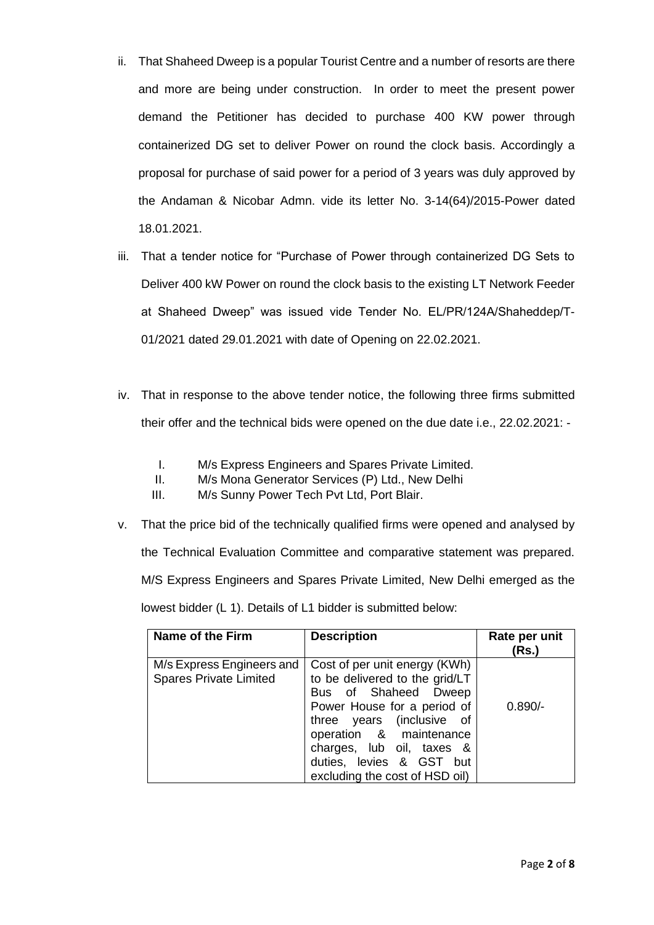- ii. That Shaheed Dweep is a popular Tourist Centre and a number of resorts are there and more are being under construction. In order to meet the present power demand the Petitioner has decided to purchase 400 KW power through containerized DG set to deliver Power on round the clock basis. Accordingly a proposal for purchase of said power for a period of 3 years was duly approved by the Andaman & Nicobar Admn. vide its letter No. 3-14(64)/2015-Power dated 18.01.2021.
- iii. That a tender notice for "Purchase of Power through containerized DG Sets to Deliver 400 kW Power on round the clock basis to the existing LT Network Feeder at Shaheed Dweep" was issued vide Tender No. EL/PR/124A/Shaheddep/T-01/2021 dated 29.01.2021 with date of Opening on 22.02.2021.
- iv. That in response to the above tender notice, the following three firms submitted their offer and the technical bids were opened on the due date i.e., 22.02.2021: -
	- I. M/s Express Engineers and Spares Private Limited.
	- II. M/s Mona Generator Services (P) Ltd., New Delhi
	- III. M/s Sunny Power Tech Pvt Ltd, Port Blair.
- v. That the price bid of the technically qualified firms were opened and analysed by the Technical Evaluation Committee and comparative statement was prepared. M/S Express Engineers and Spares Private Limited, New Delhi emerged as the lowest bidder (L 1). Details of L1 bidder is submitted below:

| Name of the Firm                                           | <b>Description</b>                                                                                                                                                                                                                                                        | Rate per unit<br>(Rs.) |
|------------------------------------------------------------|---------------------------------------------------------------------------------------------------------------------------------------------------------------------------------------------------------------------------------------------------------------------------|------------------------|
| M/s Express Engineers and<br><b>Spares Private Limited</b> | Cost of per unit energy (KWh)<br>to be delivered to the grid/LT<br>Bus of Shaheed Dweep<br>Power House for a period of<br>three years (inclusive of<br>operation & maintenance<br>charges, lub oil, taxes &<br>duties, levies & GST but<br>excluding the cost of HSD oil) | $0.890/-$              |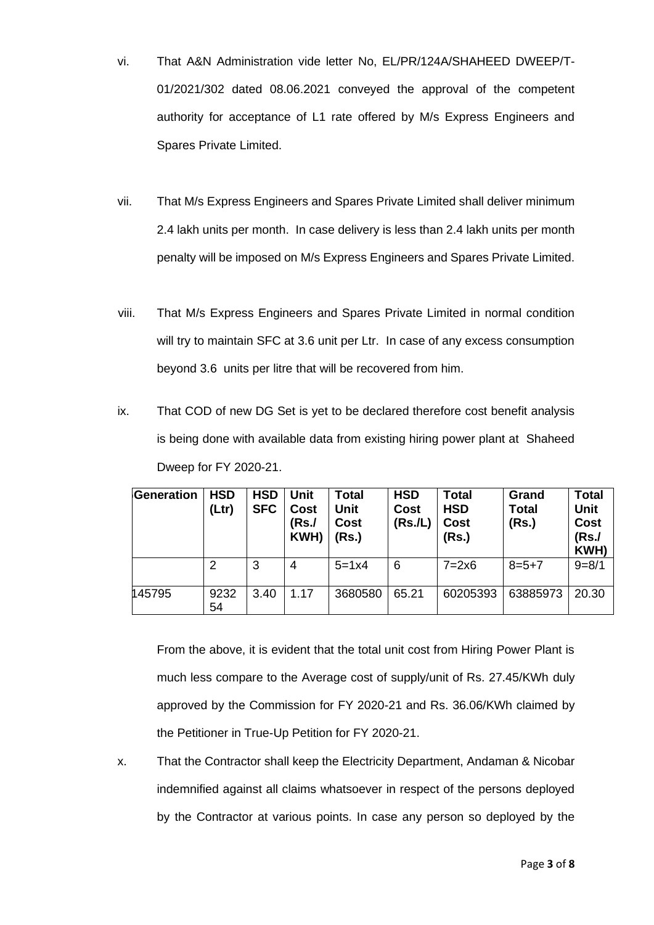- vi. That A&N Administration vide letter No, EL/PR/124A/SHAHEED DWEEP/T-01/2021/302 dated 08.06.2021 conveyed the approval of the competent authority for acceptance of L1 rate offered by M/s Express Engineers and Spares Private Limited.
- vii. That M/s Express Engineers and Spares Private Limited shall deliver minimum 2.4 lakh units per month. In case delivery is less than 2.4 lakh units per month penalty will be imposed on M/s Express Engineers and Spares Private Limited.
- viii. That M/s Express Engineers and Spares Private Limited in normal condition will try to maintain SFC at 3.6 unit per Ltr. In case of any excess consumption beyond 3.6 units per litre that will be recovered from him.
- ix. That COD of new DG Set is yet to be declared therefore cost benefit analysis is being done with available data from existing hiring power plant at Shaheed Dweep for FY 2020-21.

| Generation | <b>HSD</b><br>(Ltr) | <b>HSD</b><br><b>SFC</b> | <b>Unit</b><br>Cost<br>(Rs./<br>KWH) | <b>Total</b><br>Unit<br>Cost<br>(Rs.) | <b>HSD</b><br>Cost<br>(Rs.IL) | <b>Total</b><br><b>HSD</b><br>Cost<br>(Rs.) | Grand<br><b>Total</b><br>(Rs.) | <b>Total</b><br><b>Unit</b><br>Cost<br>(Rs./<br>KWH) |
|------------|---------------------|--------------------------|--------------------------------------|---------------------------------------|-------------------------------|---------------------------------------------|--------------------------------|------------------------------------------------------|
|            | 2                   | 3                        | 4                                    | $5 = 1x4$                             | 6                             | $7=2\times 6$                               | $8=5+7$                        | $9 = 8/1$                                            |
| 145795     | 9232<br>54          | 3.40                     | 1.17                                 | 3680580                               | 65.21                         | 60205393                                    | 63885973                       | 20.30                                                |

From the above, it is evident that the total unit cost from Hiring Power Plant is much less compare to the Average cost of supply/unit of Rs. 27.45/KWh duly approved by the Commission for FY 2020-21 and Rs. 36.06/KWh claimed by the Petitioner in True-Up Petition for FY 2020-21.

x. That the Contractor shall keep the Electricity Department, Andaman & Nicobar indemnified against all claims whatsoever in respect of the persons deployed by the Contractor at various points. In case any person so deployed by the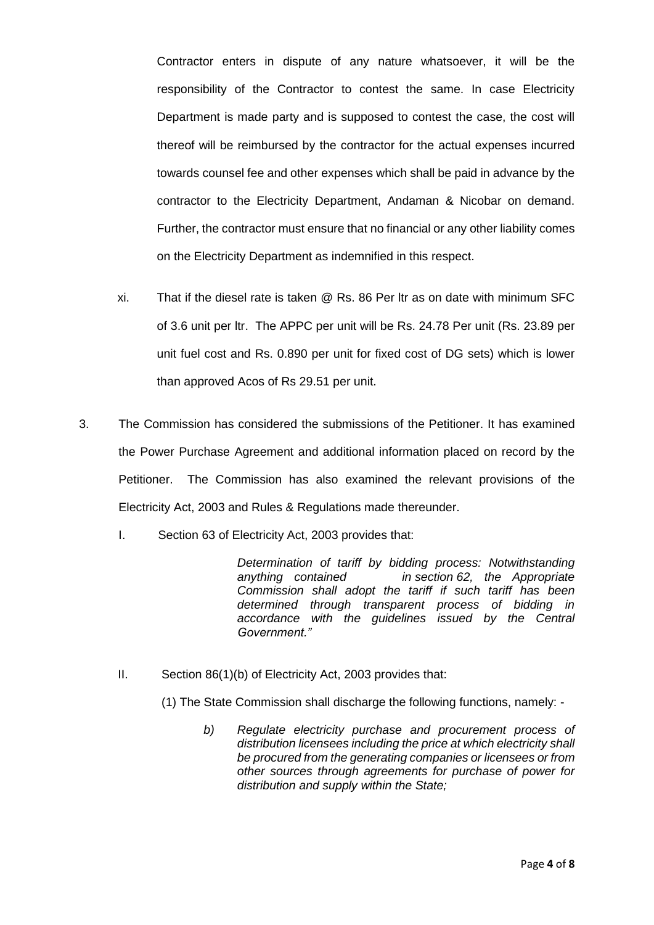Contractor enters in dispute of any nature whatsoever, it will be the responsibility of the Contractor to contest the same. In case Electricity Department is made party and is supposed to contest the case, the cost will thereof will be reimbursed by the contractor for the actual expenses incurred towards counsel fee and other expenses which shall be paid in advance by the contractor to the Electricity Department, Andaman & Nicobar on demand. Further, the contractor must ensure that no financial or any other liability comes on the Electricity Department as indemnified in this respect.

- xi. That if the diesel rate is taken @ Rs. 86 Per ltr as on date with minimum SFC of 3.6 unit per ltr. The APPC per unit will be Rs. 24.78 Per unit (Rs. 23.89 per unit fuel cost and Rs. 0.890 per unit for fixed cost of DG sets) which is lower than approved Acos of Rs 29.51 per unit.
- 3. The Commission has considered the submissions of the Petitioner. It has examined the Power Purchase Agreement and additional information placed on record by the Petitioner. The Commission has also examined the relevant provisions of the Electricity Act, 2003 and Rules & Regulations made thereunder.
	- I. Section 63 of Electricity Act, 2003 provides that:

*Determination of tariff by bidding process: Notwithstanding anything contained in section 62, the Appropriate Commission shall adopt the tariff if such tariff has been determined through transparent process of bidding in accordance with the guidelines issued by the Central Government."*

II. Section 86(1)(b) of Electricity Act, 2003 provides that:

(1) The State Commission shall discharge the following functions, namely: -

*b) Regulate electricity purchase and procurement process of distribution licensees including the price at which electricity shall be procured from the generating companies or licensees or from other sources through agreements for purchase of power for distribution and supply within the State;*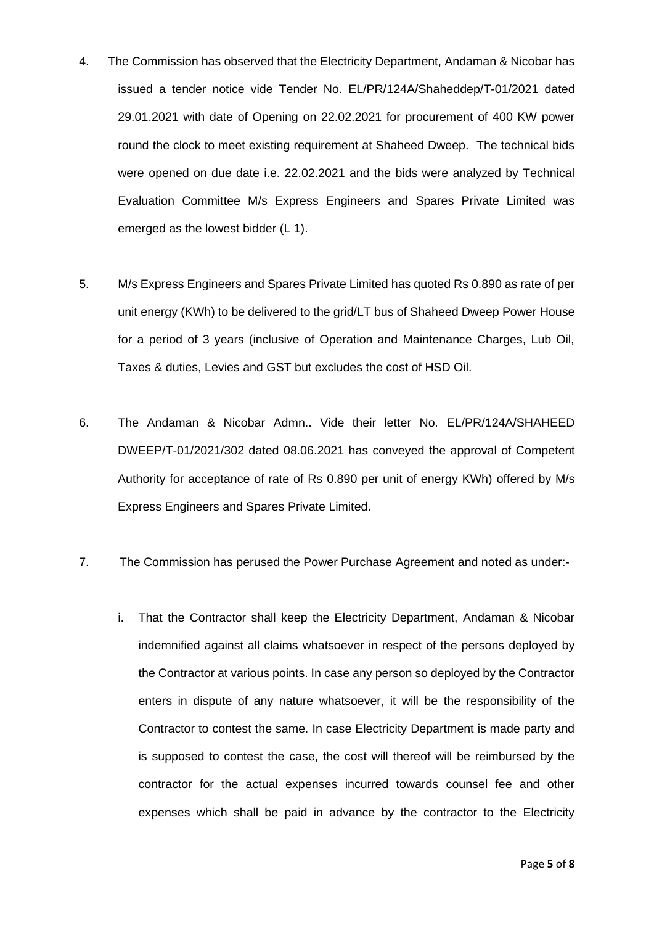- 4. The Commission has observed that the Electricity Department, Andaman & Nicobar has issued a tender notice vide Tender No. EL/PR/124A/Shaheddep/T-01/2021 dated 29.01.2021 with date of Opening on 22.02.2021 for procurement of 400 KW power round the clock to meet existing requirement at Shaheed Dweep. The technical bids were opened on due date i.e. 22.02.2021 and the bids were analyzed by Technical Evaluation Committee M/s Express Engineers and Spares Private Limited was emerged as the lowest bidder (L 1).
- 5. M/s Express Engineers and Spares Private Limited has quoted Rs 0.890 as rate of per unit energy (KWh) to be delivered to the grid/LT bus of Shaheed Dweep Power House for a period of 3 years (inclusive of Operation and Maintenance Charges, Lub Oil, Taxes & duties, Levies and GST but excludes the cost of HSD Oil.
- 6. The Andaman & Nicobar Admn.. Vide their letter No. EL/PR/124A/SHAHEED DWEEP/T-01/2021/302 dated 08.06.2021 has conveyed the approval of Competent Authority for acceptance of rate of Rs 0.890 per unit of energy KWh) offered by M/s Express Engineers and Spares Private Limited.
- 7. The Commission has perused the Power Purchase Agreement and noted as under:
	- i. That the Contractor shall keep the Electricity Department, Andaman & Nicobar indemnified against all claims whatsoever in respect of the persons deployed by the Contractor at various points. In case any person so deployed by the Contractor enters in dispute of any nature whatsoever, it will be the responsibility of the Contractor to contest the same. In case Electricity Department is made party and is supposed to contest the case, the cost will thereof will be reimbursed by the contractor for the actual expenses incurred towards counsel fee and other expenses which shall be paid in advance by the contractor to the Electricity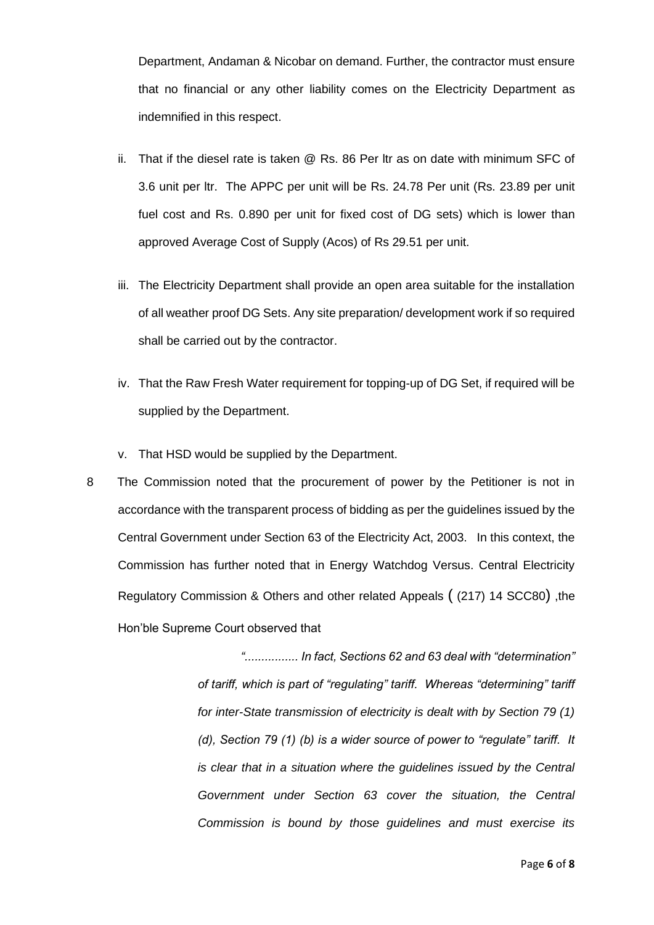Department, Andaman & Nicobar on demand. Further, the contractor must ensure that no financial or any other liability comes on the Electricity Department as indemnified in this respect.

- ii. That if the diesel rate is taken @ Rs. 86 Per ltr as on date with minimum SFC of 3.6 unit per ltr. The APPC per unit will be Rs. 24.78 Per unit (Rs. 23.89 per unit fuel cost and Rs. 0.890 per unit for fixed cost of DG sets) which is lower than approved Average Cost of Supply (Acos) of Rs 29.51 per unit.
- iii. The Electricity Department shall provide an open area suitable for the installation of all weather proof DG Sets. Any site preparation/ development work if so required shall be carried out by the contractor.
- iv. That the Raw Fresh Water requirement for topping-up of DG Set, if required will be supplied by the Department.
- v. That HSD would be supplied by the Department.
- 8 The Commission noted that the procurement of power by the Petitioner is not in accordance with the transparent process of bidding as per the guidelines issued by the Central Government under Section 63 of the Electricity Act, 2003. In this context, the Commission has further noted that in Energy Watchdog Versus. Central Electricity Regulatory Commission & Others and other related Appeals ( (217) 14 SCC80) ,the Hon'ble Supreme Court observed that

*"................ In fact, Sections 62 and 63 deal with "determination" of tariff, which is part of "regulating" tariff. Whereas "determining" tariff for inter-State transmission of electricity is dealt with by Section 79 (1) (d), Section 79 (1) (b) is a wider source of power to "regulate" tariff. It is clear that in a situation where the guidelines issued by the Central Government under Section 63 cover the situation, the Central Commission is bound by those guidelines and must exercise its*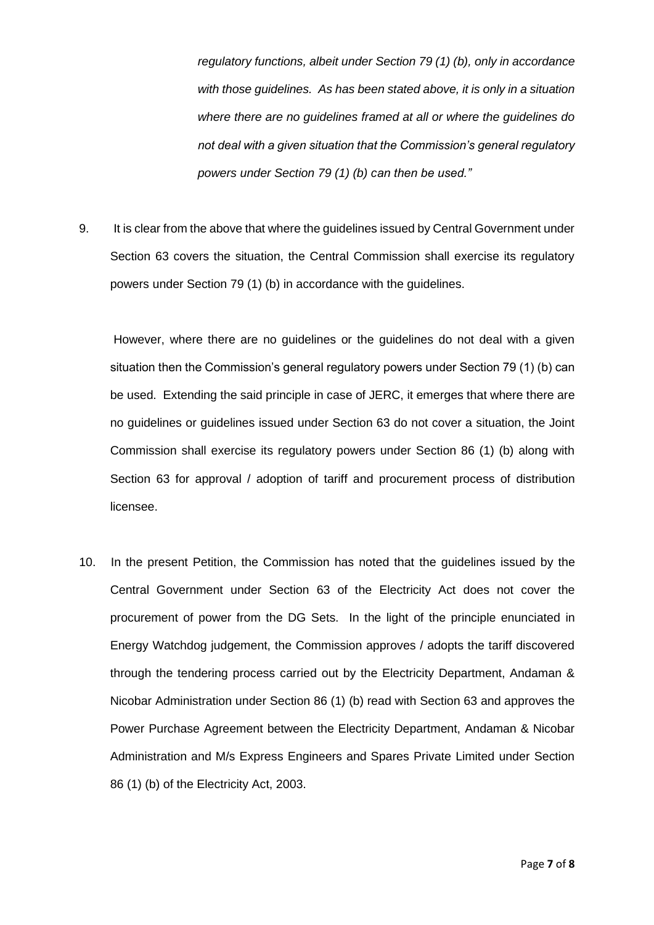*regulatory functions, albeit under Section 79 (1) (b), only in accordance with those guidelines. As has been stated above, it is only in a situation where there are no guidelines framed at all or where the guidelines do not deal with a given situation that the Commission's general regulatory powers under Section 79 (1) (b) can then be used."*

9. It is clear from the above that where the guidelines issued by Central Government under Section 63 covers the situation, the Central Commission shall exercise its regulatory powers under Section 79 (1) (b) in accordance with the guidelines.

However, where there are no guidelines or the guidelines do not deal with a given situation then the Commission's general regulatory powers under Section 79 (1) (b) can be used. Extending the said principle in case of JERC, it emerges that where there are no guidelines or guidelines issued under Section 63 do not cover a situation, the Joint Commission shall exercise its regulatory powers under Section 86 (1) (b) along with Section 63 for approval / adoption of tariff and procurement process of distribution licensee.

10. In the present Petition, the Commission has noted that the guidelines issued by the Central Government under Section 63 of the Electricity Act does not cover the procurement of power from the DG Sets. In the light of the principle enunciated in Energy Watchdog judgement, the Commission approves / adopts the tariff discovered through the tendering process carried out by the Electricity Department, Andaman & Nicobar Administration under Section 86 (1) (b) read with Section 63 and approves the Power Purchase Agreement between the Electricity Department, Andaman & Nicobar Administration and M/s Express Engineers and Spares Private Limited under Section 86 (1) (b) of the Electricity Act, 2003.